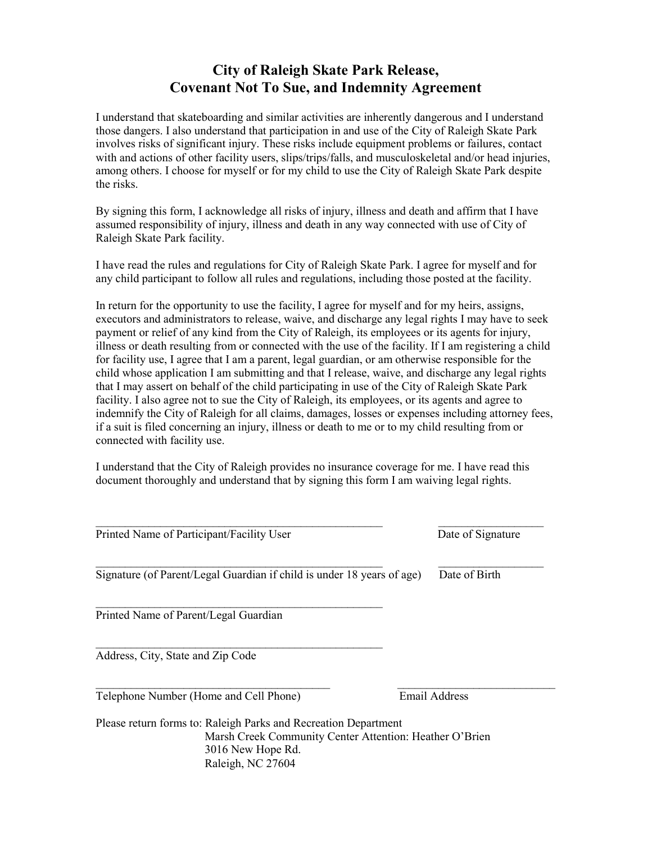## City of Raleigh Skate Park Release, Covenant Not To Sue, and Indemnity Agreement

I understand that skateboarding and similar activities are inherently dangerous and I understand those dangers. I also understand that participation in and use of the City of Raleigh Skate Park involves risks of significant injury. These risks include equipment problems or failures, contact with and actions of other facility users, slips/trips/falls, and musculoskeletal and/or head injuries, among others. I choose for myself or for my child to use the City of Raleigh Skate Park despite the risks.

By signing this form, I acknowledge all risks of injury, illness and death and affirm that I have assumed responsibility of injury, illness and death in any way connected with use of City of Raleigh Skate Park facility.

I have read the rules and regulations for City of Raleigh Skate Park. I agree for myself and for any child participant to follow all rules and regulations, including those posted at the facility.

In return for the opportunity to use the facility, I agree for myself and for my heirs, assigns, executors and administrators to release, waive, and discharge any legal rights I may have to seek payment or relief of any kind from the City of Raleigh, its employees or its agents for injury, illness or death resulting from or connected with the use of the facility. If I am registering a child for facility use, I agree that I am a parent, legal guardian, or am otherwise responsible for the child whose application I am submitting and that I release, waive, and discharge any legal rights that I may assert on behalf of the child participating in use of the City of Raleigh Skate Park facility. I also agree not to sue the City of Raleigh, its employees, or its agents and agree to indemnify the City of Raleigh for all claims, damages, losses or expenses including attorney fees, if a suit is filed concerning an injury, illness or death to me or to my child resulting from or connected with facility use.

I understand that the City of Raleigh provides no insurance coverage for me. I have read this document thoroughly and understand that by signing this form I am waiving legal rights.

| Printed Name of Participant/Facility User                                                                                                                            | Date of Signature    |
|----------------------------------------------------------------------------------------------------------------------------------------------------------------------|----------------------|
| Signature (of Parent/Legal Guardian if child is under 18 years of age)                                                                                               | Date of Birth        |
| Printed Name of Parent/Legal Guardian                                                                                                                                |                      |
| Address, City, State and Zip Code                                                                                                                                    |                      |
| Telephone Number (Home and Cell Phone)                                                                                                                               | <b>Email Address</b> |
| Please return forms to: Raleigh Parks and Recreation Department<br>Marsh Creek Community Center Attention: Heather O'Brien<br>3016 New Hope Rd.<br>Raleigh, NC 27604 |                      |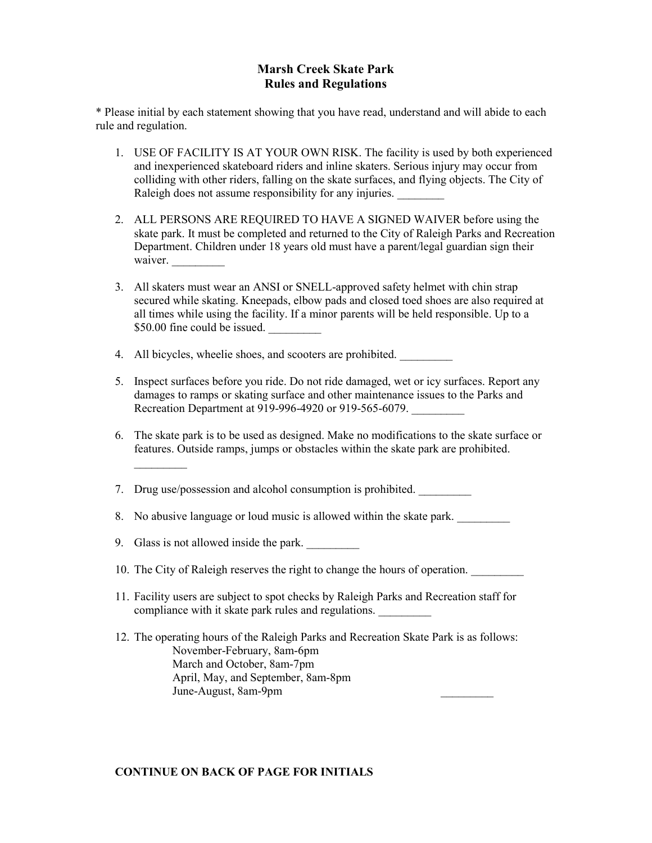## Marsh Creek Skate Park Rules and Regulations

\* Please initial by each statement showing that you have read, understand and will abide to each rule and regulation.

- 1. USE OF FACILITY IS AT YOUR OWN RISK. The facility is used by both experienced and inexperienced skateboard riders and inline skaters. Serious injury may occur from colliding with other riders, falling on the skate surfaces, and flying objects. The City of Raleigh does not assume responsibility for any injuries.
- 2. ALL PERSONS ARE REQUIRED TO HAVE A SIGNED WAIVER before using the skate park. It must be completed and returned to the City of Raleigh Parks and Recreation Department. Children under 18 years old must have a parent/legal guardian sign their waiver.
- 3. All skaters must wear an ANSI or SNELL-approved safety helmet with chin strap secured while skating. Kneepads, elbow pads and closed toed shoes are also required at all times while using the facility. If a minor parents will be held responsible. Up to a \$50.00 fine could be issued.
- 4. All bicycles, wheelie shoes, and scooters are prohibited.
- 5. Inspect surfaces before you ride. Do not ride damaged, wet or icy surfaces. Report any damages to ramps or skating surface and other maintenance issues to the Parks and Recreation Department at 919-996-4920 or 919-565-6079.
- 6. The skate park is to be used as designed. Make no modifications to the skate surface or features. Outside ramps, jumps or obstacles within the skate park are prohibited.

7. Drug use/possession and alcohol consumption is prohibited.

- 8. No abusive language or loud music is allowed within the skate park.
- 9. Glass is not allowed inside the park.

 $\frac{1}{2}$ 

- 10. The City of Raleigh reserves the right to change the hours of operation.
- 11. Facility users are subject to spot checks by Raleigh Parks and Recreation staff for compliance with it skate park rules and regulations.
- 12. The operating hours of the Raleigh Parks and Recreation Skate Park is as follows: November-February, 8am-6pm March and October, 8am-7pm April, May, and September, 8am-8pm June-August, 8am-9pm \_\_\_\_\_\_\_\_\_

## CONTINUE ON BACK OF PAGE FOR INITIALS